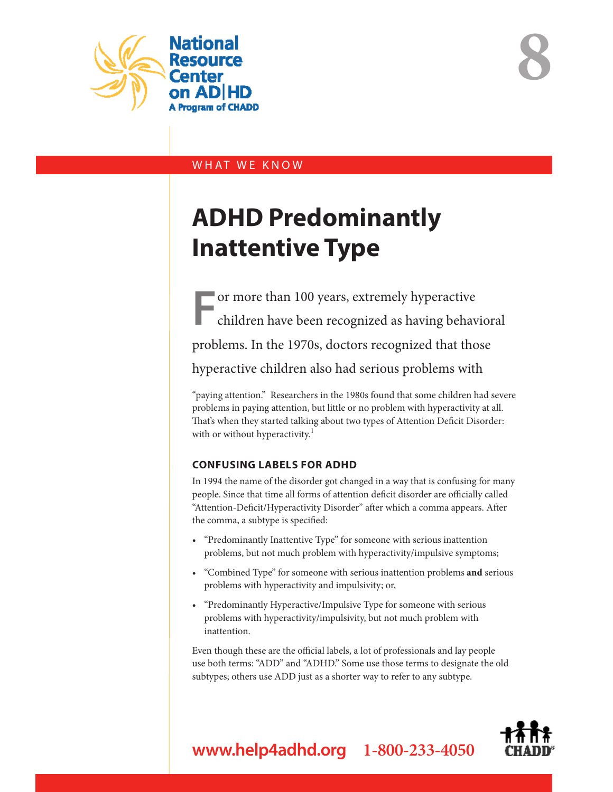

**8**

# WHAT WE KNOW

# **ADHD Predominantly Inattentive Type**

**F**or more than 100 years, extremely hyperactive children have been recognized as having behavioral problems. In the 1970s, doctors recognized that those hyperactive children also had serious problems with

"paying attention." Researchers in the 1980s found that some children had severe problems in paying attention, but little or no problem with hyperactivity at all. That's when they started talking about two types of Attention Deficit Disorder: with or without hyperactivity.<sup>1</sup>

# **CONFUSING LABELS FOR ADHD**

In 1994 the name of the disorder got changed in a way that is confusing for many people. Since that time all forms of attention deficit disorder are officially called "Attention-Deficit/Hyperactivity Disorder" after which a comma appears. After the comma, a subtype is specified:

- "Predominantly Inattentive Type" for someone with serious inattention problems, but not much problem with hyperactivity/impulsive symptoms;
- "Combined Type" for someone with serious inattention problems **and** serious problems with hyperactivity and impulsivity; or,
- "Predominantly Hyperactive/Impulsive Type for someone with serious problems with hyperactivity/impulsivity, but not much problem with inattention.

Even though these are the official labels, a lot of professionals and lay people use both terms: "ADD" and "ADHD." Some use those terms to designate the old subtypes; others use ADD just as a shorter way to refer to any subtype.



**www.help4adhd.org 1-800-233-4050**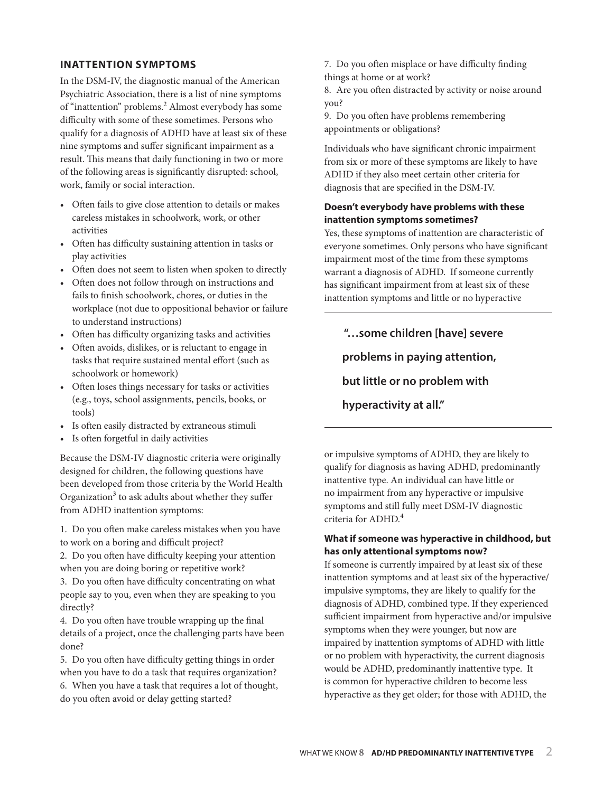#### **INATTENTION SYMPTOMS**

In the DSM-IV, the diagnostic manual of the American Psychiatric Association, there is a list of nine symptoms of "inattention" problems.<sup>2</sup> Almost everybody has some difficulty with some of these sometimes. Persons who qualify for a diagnosis of ADHD have at least six of these nine symptoms and suffer significant impairment as a result. This means that daily functioning in two or more of the following areas is significantly disrupted: school, work, family or social interaction.

- Often fails to give close attention to details or makes careless mistakes in schoolwork, work, or other activities
- Often has difficulty sustaining attention in tasks or play activities
- Often does not seem to listen when spoken to directly
- Often does not follow through on instructions and fails to finish schoolwork, chores, or duties in the workplace (not due to oppositional behavior or failure to understand instructions)
- Often has difficulty organizing tasks and activities
- Often avoids, dislikes, or is reluctant to engage in tasks that require sustained mental effort (such as schoolwork or homework)
- Often loses things necessary for tasks or activities (e.g., toys, school assignments, pencils, books, or tools)
- Is often easily distracted by extraneous stimuli
- Is often forgetful in daily activities

Because the DSM-IV diagnostic criteria were originally designed for children, the following questions have been developed from those criteria by the World Health Organization<sup>3</sup> to ask adults about whether they suffer from ADHD inattention symptoms:

1. Do you often make careless mistakes when you have to work on a boring and difficult project?

2. Do you often have difficulty keeping your attention when you are doing boring or repetitive work?

3. Do you often have difficulty concentrating on what people say to you, even when they are speaking to you directly?

4. Do you often have trouble wrapping up the final details of a project, once the challenging parts have been done?

5. Do you often have difficulty getting things in order when you have to do a task that requires organization? 6. When you have a task that requires a lot of thought, do you often avoid or delay getting started?

7. Do you often misplace or have difficulty finding things at home or at work?

8. Are you often distracted by activity or noise around you?

9. Do you often have problems remembering appointments or obligations?

Individuals who have significant chronic impairment from six or more of these symptoms are likely to have ADHD if they also meet certain other criteria for diagnosis that are specified in the DSM-IV.

# **Doesn't everybody have problems with these inattention symptoms sometimes?**

Yes, these symptoms of inattention are characteristic of everyone sometimes. Only persons who have significant impairment most of the time from these symptoms warrant a diagnosis of ADHD. If someone currently has significant impairment from at least six of these inattention symptoms and little or no hyperactive

 **"…some children [have] severe problems in paying attention, but little or no problem with hyperactivity at all."** 

or impulsive symptoms of ADHD, they are likely to qualify for diagnosis as having ADHD, predominantly inattentive type. An individual can have little or no impairment from any hyperactive or impulsive symptoms and still fully meet DSM-IV diagnostic criteria for ADHD.4

## **What if someone was hyperactive in childhood, but has only attentional symptoms now?**

If someone is currently impaired by at least six of these inattention symptoms and at least six of the hyperactive/ impulsive symptoms, they are likely to qualify for the diagnosis of ADHD, combined type. If they experienced sufficient impairment from hyperactive and/or impulsive symptoms when they were younger, but now are impaired by inattention symptoms of ADHD with little or no problem with hyperactivity, the current diagnosis would be ADHD, predominantly inattentive type. It is common for hyperactive children to become less hyperactive as they get older; for those with ADHD, the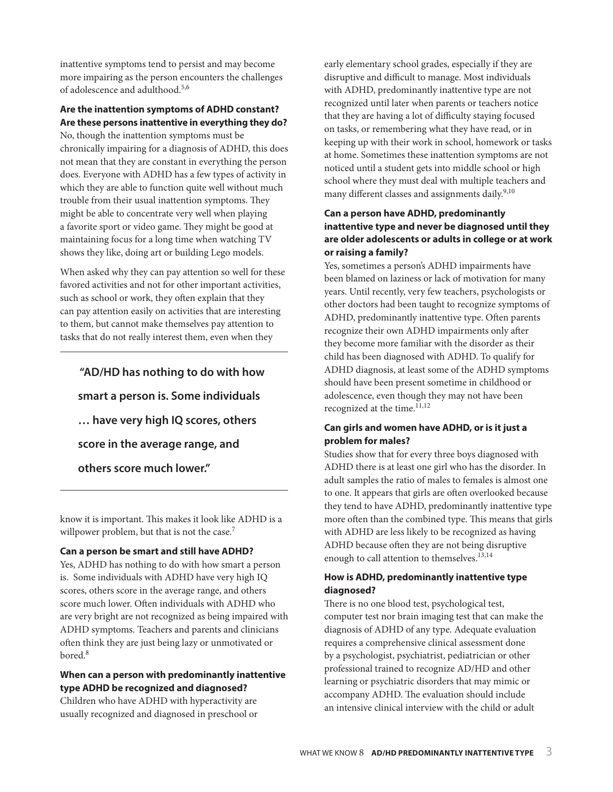inattentive symptoms tend to persist and may become more impairing as the person encounters the challenges of adolescence and adulthood.5,6

# **Are the inattention symptoms of ADHD constant? Are these persons inattentive in everything they do?**

No, though the inattention symptoms must be chronically impairing for a diagnosis of ADHD, this does not mean that they are constant in everything the person does. Everyone with ADHD has a few types of activity in which they are able to function quite well without much trouble from their usual inattention symptoms. They might be able to concentrate very well when playing a favorite sport or video game. They might be good at maintaining focus for a long time when watching TV shows they like, doing art or building Lego models.

When asked why they can pay attention so well for these favored activities and not for other important activities, such as school or work, they often explain that they can pay attention easily on activities that are interesting to them, but cannot make themselves pay attention to tasks that do not really interest them, even when they

 **"AD/HD has nothing to do with how smart a person is. Some individuals … have very high IQ scores, others score in the average range, and others score much lower."**

know it is important. This makes it look like ADHD is a willpower problem, but that is not the case.<sup>7</sup>

#### **Can a person be smart and still have ADHD?**

Yes, ADHD has nothing to do with how smart a person is. Some individuals with ADHD have very high IQ scores, others score in the average range, and others score much lower. Often individuals with ADHD who are very bright are not recognized as being impaired with ADHD symptoms. Teachers and parents and clinicians often think they are just being lazy or unmotivated or bored.<sup>8</sup>

#### **When can a person with predominantly inattentive type ADHD be recognized and diagnosed?**

Children who have ADHD with hyperactivity are usually recognized and diagnosed in preschool or early elementary school grades, especially if they are disruptive and difficult to manage. Most individuals with ADHD, predominantly inattentive type are not recognized until later when parents or teachers notice that they are having a lot of difficulty staying focused on tasks, or remembering what they have read, or in keeping up with their work in school, homework or tasks at home. Sometimes these inattention symptoms are not noticed until a student gets into middle school or high school where they must deal with multiple teachers and many different classes and assignments daily.<sup>9,10</sup>

# **Can a person have ADHD, predominantly inattentive type and never be diagnosed until they are older adolescents or adults in college or at work or raising a family?**

Yes, sometimes a person's ADHD impairments have been blamed on laziness or lack of motivation for many years. Until recently, very few teachers, psychologists or other doctors had been taught to recognize symptoms of ADHD, predominantly inattentive type. Often parents recognize their own ADHD impairments only after they become more familiar with the disorder as their child has been diagnosed with ADHD. To qualify for ADHD diagnosis, at least some of the ADHD symptoms should have been present sometime in childhood or adolescence, even though they may not have been recognized at the time.<sup>11,12</sup>

#### **Can girls and women have ADHD, or is it just a problem for males?**

Studies show that for every three boys diagnosed with ADHD there is at least one girl who has the disorder. In adult samples the ratio of males to females is almost one to one. It appears that girls are often overlooked because they tend to have ADHD, predominantly inattentive type more often than the combined type. This means that girls with ADHD are less likely to be recognized as having ADHD because often they are not being disruptive enough to call attention to themselves.<sup>13,14</sup>

## **How is ADHD, predominantly inattentive type diagnosed?**

There is no one blood test, psychological test, computer test nor brain imaging test that can make the diagnosis of ADHD of any type. Adequate evaluation requires a comprehensive clinical assessment done by a psychologist, psychiatrist, pediatrician or other professional trained to recognize AD/HD and other learning or psychiatric disorders that may mimic or accompany ADHD. The evaluation should include an intensive clinical interview with the child or adult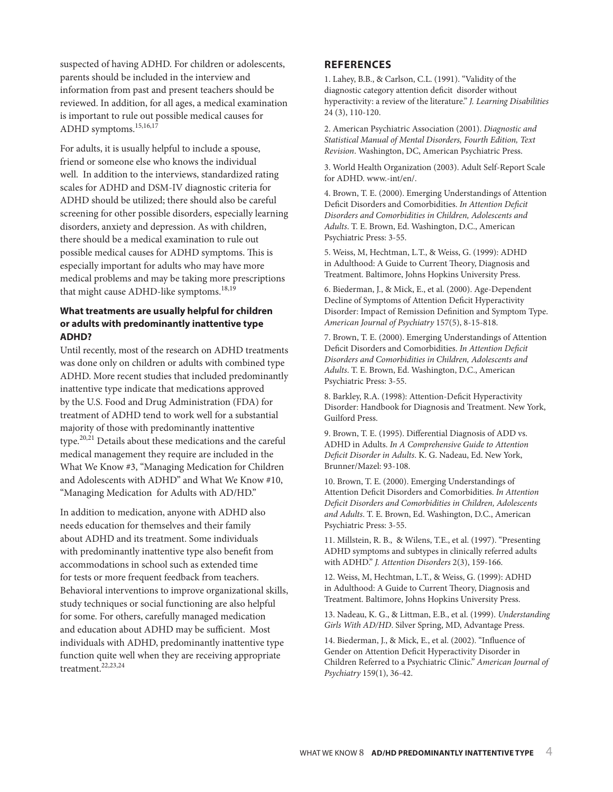suspected of having ADHD. For children or adolescents, parents should be included in the interview and information from past and present teachers should be reviewed. In addition, for all ages, a medical examination is important to rule out possible medical causes for ADHD symptoms.15,16,17

For adults, it is usually helpful to include a spouse, friend or someone else who knows the individual well. In addition to the interviews, standardized rating scales for ADHD and DSM-IV diagnostic criteria for ADHD should be utilized; there should also be careful screening for other possible disorders, especially learning disorders, anxiety and depression. As with children, there should be a medical examination to rule out possible medical causes for ADHD symptoms. This is especially important for adults who may have more medical problems and may be taking more prescriptions that might cause ADHD-like symptoms.<sup>18,19</sup>

## **What treatments are usually helpful for children or adults with predominantly inattentive type ADHD?**

Until recently, most of the research on ADHD treatments was done only on children or adults with combined type ADHD. More recent studies that included predominantly inattentive type indicate that medications approved by the U.S. Food and Drug Administration (FDA) for treatment of ADHD tend to work well for a substantial majority of those with predominantly inattentive type.20,21 Details about these medications and the careful medical management they require are included in the What We Know #3, "Managing Medication for Children and Adolescents with ADHD" and What We Know #10, "Managing Medication for Adults with AD/HD."

In addition to medication, anyone with ADHD also needs education for themselves and their family about ADHD and its treatment. Some individuals with predominantly inattentive type also benefit from accommodations in school such as extended time for tests or more frequent feedback from teachers. Behavioral interventions to improve organizational skills, study techniques or social functioning are also helpful for some. For others, carefully managed medication and education about ADHD may be sufficient. Most individuals with ADHD, predominantly inattentive type function quite well when they are receiving appropriate treatment.<sup>22,23,24</sup>

#### **REFERENCES**

1. Lahey, B.B., & Carlson, C.L. (1991). "Validity of the diagnostic category attention deficit disorder without hyperactivity: a review of the literature." *J. Learning Disabilities* 24 (3), 110-120.

2. American Psychiatric Association (2001). *Diagnostic and Statistical Manual of Mental Disorders, Fourth Edition, Text Revision*. Washington, DC, American Psychiatric Press.

3. World Health Organization (2003). Adult Self-Report Scale for ADHD. www.-int/en/.

4. Brown, T. E. (2000). Emerging Understandings of Attention Deficit Disorders and Comorbidities. *In Attention Deficit Disorders and Comorbidities in Children, Adolescents and Adults*. T. E. Brown, Ed. Washington, D.C., American Psychiatric Press: 3-55.

5. Weiss, M, Hechtman, L.T., & Weiss, G. (1999): ADHD in Adulthood: A Guide to Current Theory, Diagnosis and Treatment. Baltimore, Johns Hopkins University Press.

6. Biederman, J., & Mick, E., et al. (2000). Age-Dependent Decline of Symptoms of Attention Deficit Hyperactivity Disorder: Impact of Remission Definition and Symptom Type. *American Journal of Psychiatry* 157(5), 8-15-818.

7. Brown, T. E. (2000). Emerging Understandings of Attention Deficit Disorders and Comorbidities. *In Attention Deficit Disorders and Comorbidities in Children, Adolescents and Adults*. T. E. Brown, Ed. Washington, D.C., American Psychiatric Press: 3-55.

8. Barkley, R.A. (1998): Attention-Deficit Hyperactivity Disorder: Handbook for Diagnosis and Treatment. New York, Guilford Press.

9. Brown, T. E. (1995). Differential Diagnosis of ADD vs. ADHD in Adults. *In A Comprehensive Guide to Attention Deficit Disorder in Adults*. K. G. Nadeau, Ed. New York, Brunner/Mazel: 93-108.

10. Brown, T. E. (2000). Emerging Understandings of Attention Deficit Disorders and Comorbidities. *In Attention Deficit Disorders and Comorbidities in Children, Adolescents and Adults*. T. E. Brown, Ed. Washington, D.C., American Psychiatric Press: 3-55.

11. Millstein, R. B., & Wilens, T.E., et al. (1997). "Presenting ADHD symptoms and subtypes in clinically referred adults with ADHD." *J. Attention Disorders* 2(3), 159-166.

12. Weiss, M, Hechtman, L.T., & Weiss, G. (1999): ADHD in Adulthood: A Guide to Current Theory, Diagnosis and Treatment. Baltimore, Johns Hopkins University Press.

13. Nadeau, K. G., & Littman, E.B., et al. (1999). *Understanding Girls With AD/HD*. Silver Spring, MD, Advantage Press.

14. Biederman, J., & Mick, E., et al. (2002). "Influence of Gender on Attention Deficit Hyperactivity Disorder in Children Referred to a Psychiatric Clinic." *American Journal of Psychiatry* 159(1), 36-42.